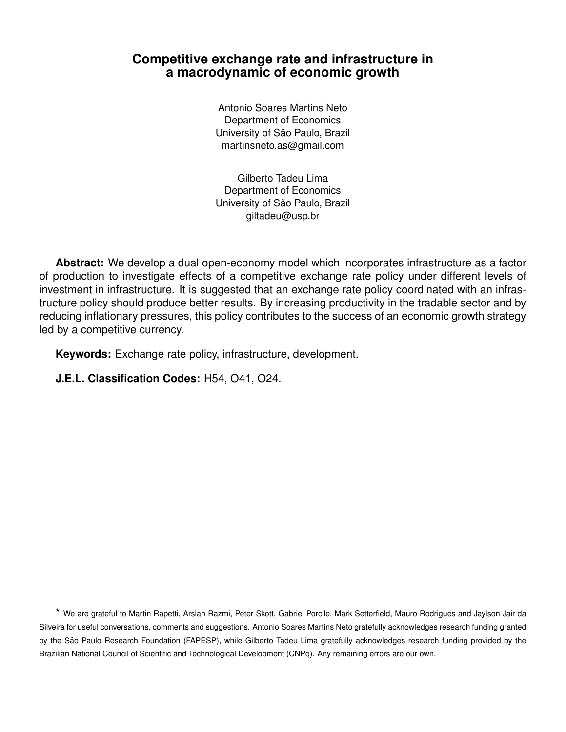# **Competitive exchange rate and infrastructure in a macrodynamic of economic growth**

Antonio Soares Martins Neto Department of Economics University of São Paulo, Brazil martinsneto.as@gmail.com

Gilberto Tadeu Lima Department of Economics University of São Paulo, Brazil giltadeu@usp.br

**Abstract:** We develop a dual open-economy model which incorporates infrastructure as a factor of production to investigate effects of a competitive exchange rate policy under different levels of investment in infrastructure. It is suggested that an exchange rate policy coordinated with an infrastructure policy should produce better results. By increasing productivity in the tradable sector and by reducing inflationary pressures, this policy contributes to the success of an economic growth strategy led by a competitive currency.

**Keywords:** Exchange rate policy, infrastructure, development.

**J.E.L. Classification Codes:** H54, O41, O24.

**\*** We are grateful to Martin Rapetti, Arslan Razmi, Peter Skott, Gabriel Porcile, Mark Setterfield, Mauro Rodrigues and Jaylson Jair da Silveira for useful conversations, comments and suggestions. Antonio Soares Martins Neto gratefully acknowledges research funding granted by the São Paulo Research Foundation (FAPESP), while Gilberto Tadeu Lima gratefully acknowledges research funding provided by the Brazilian National Council of Scientific and Technological Development (CNPq). Any remaining errors are our own.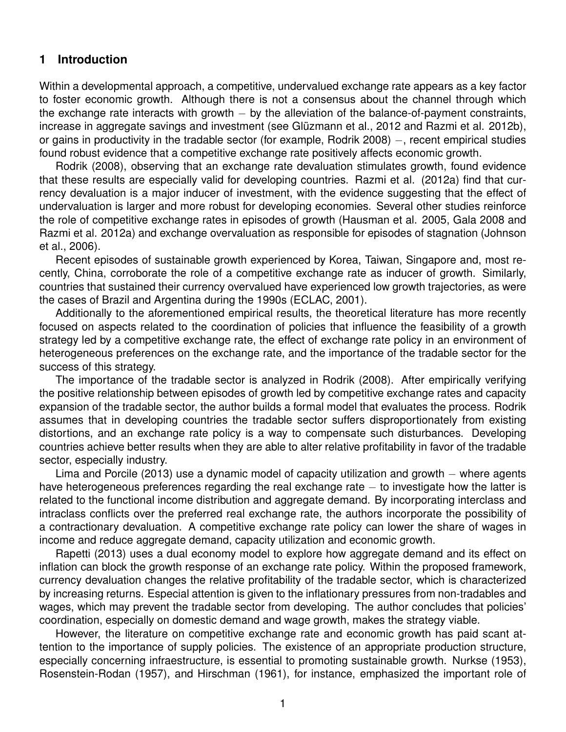## **1 Introduction**

Within a developmental approach, a competitive, undervalued exchange rate appears as a key factor to foster economic growth. Although there is not a consensus about the channel through which the exchange rate interacts with growth – by the alleviation of the balance-of-payment constraints, increase in aggregate savings and investment (see Glüzmann et al., 2012 and Razmi et al. 2012b), or gains in productivity in the tradable sector (for example, Rodrik 2008) –, recent empirical studies found robust evidence that a competitive exchange rate positively affects economic growth.

Rodrik (2008), observing that an exchange rate devaluation stimulates growth, found evidence that these results are especially valid for developing countries. Razmi et al. (2012a) find that currency devaluation is a major inducer of investment, with the evidence suggesting that the effect of undervaluation is larger and more robust for developing economies. Several other studies reinforce the role of competitive exchange rates in episodes of growth (Hausman et al. 2005, Gala 2008 and Razmi et al. 2012a) and exchange overvaluation as responsible for episodes of stagnation (Johnson et al., 2006).

Recent episodes of sustainable growth experienced by Korea, Taiwan, Singapore and, most recently, China, corroborate the role of a competitive exchange rate as inducer of growth. Similarly, countries that sustained their currency overvalued have experienced low growth trajectories, as were the cases of Brazil and Argentina during the 1990s (ECLAC, 2001).

Additionally to the aforementioned empirical results, the theoretical literature has more recently focused on aspects related to the coordination of policies that influence the feasibility of a growth strategy led by a competitive exchange rate, the effect of exchange rate policy in an environment of heterogeneous preferences on the exchange rate, and the importance of the tradable sector for the success of this strategy.

The importance of the tradable sector is analyzed in Rodrik (2008). After empirically verifying the positive relationship between episodes of growth led by competitive exchange rates and capacity expansion of the tradable sector, the author builds a formal model that evaluates the process. Rodrik assumes that in developing countries the tradable sector suffers disproportionately from existing distortions, and an exchange rate policy is a way to compensate such disturbances. Developing countries achieve better results when they are able to alter relative profitability in favor of the tradable sector, especially industry.

Lima and Porcile (2013) use a dynamic model of capacity utilization and growth – where agents have heterogeneous preferences regarding the real exchange rate – to investigate how the latter is related to the functional income distribution and aggregate demand. By incorporating interclass and intraclass conflicts over the preferred real exchange rate, the authors incorporate the possibility of a contractionary devaluation. A competitive exchange rate policy can lower the share of wages in income and reduce aggregate demand, capacity utilization and economic growth.

Rapetti (2013) uses a dual economy model to explore how aggregate demand and its effect on inflation can block the growth response of an exchange rate policy. Within the proposed framework, currency devaluation changes the relative profitability of the tradable sector, which is characterized by increasing returns. Especial attention is given to the inflationary pressures from non-tradables and wages, which may prevent the tradable sector from developing. The author concludes that policies' coordination, especially on domestic demand and wage growth, makes the strategy viable.

However, the literature on competitive exchange rate and economic growth has paid scant attention to the importance of supply policies. The existence of an appropriate production structure, especially concerning infraestructure, is essential to promoting sustainable growth. Nurkse (1953), Rosenstein-Rodan (1957), and Hirschman (1961), for instance, emphasized the important role of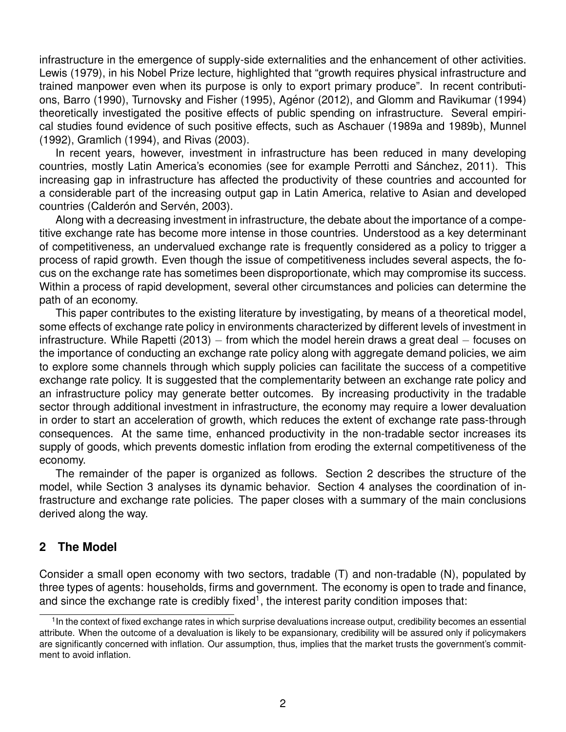infrastructure in the emergence of supply-side externalities and the enhancement of other activities. Lewis (1979), in his Nobel Prize lecture, highlighted that "growth requires physical infrastructure and trained manpower even when its purpose is only to export primary produce". In recent contributions, Barro (1990), Turnovsky and Fisher (1995), Agénor (2012), and Glomm and Ravikumar (1994) theoretically investigated the positive effects of public spending on infrastructure. Several empirical studies found evidence of such positive effects, such as Aschauer (1989a and 1989b), Munnel (1992), Gramlich (1994), and Rivas (2003).

In recent years, however, investment in infrastructure has been reduced in many developing countries, mostly Latin America's economies (see for example Perrotti and Sánchez, 2011). This increasing gap in infrastructure has affected the productivity of these countries and accounted for a considerable part of the increasing output gap in Latin America, relative to Asian and developed countries (Calderón and Servén, 2003).

Along with a decreasing investment in infrastructure, the debate about the importance of a competitive exchange rate has become more intense in those countries. Understood as a key determinant of competitiveness, an undervalued exchange rate is frequently considered as a policy to trigger a process of rapid growth. Even though the issue of competitiveness includes several aspects, the focus on the exchange rate has sometimes been disproportionate, which may compromise its success. Within a process of rapid development, several other circumstances and policies can determine the path of an economy.

This paper contributes to the existing literature by investigating, by means of a theoretical model, some effects of exchange rate policy in environments characterized by different levels of investment in infrastructure. While Rapetti (2013) – from which the model herein draws a great deal – focuses on the importance of conducting an exchange rate policy along with aggregate demand policies, we aim to explore some channels through which supply policies can facilitate the success of a competitive exchange rate policy. It is suggested that the complementarity between an exchange rate policy and an infrastructure policy may generate better outcomes. By increasing productivity in the tradable sector through additional investment in infrastructure, the economy may require a lower devaluation in order to start an acceleration of growth, which reduces the extent of exchange rate pass-through consequences. At the same time, enhanced productivity in the non-tradable sector increases its supply of goods, which prevents domestic inflation from eroding the external competitiveness of the economy.

The remainder of the paper is organized as follows. Section 2 describes the structure of the model, while Section 3 analyses its dynamic behavior. Section 4 analyses the coordination of infrastructure and exchange rate policies. The paper closes with a summary of the main conclusions derived along the way.

# **2 The Model**

Consider a small open economy with two sectors, tradable (T) and non-tradable (N), populated by three types of agents: households, firms and government. The economy is open to trade and finance, and since the exchange rate is credibly fixed<sup>1</sup>, the interest parity condition imposes that:

<sup>&</sup>lt;sup>1</sup>In the context of fixed exchange rates in which surprise devaluations increase output, credibility becomes an essential attribute. When the outcome of a devaluation is likely to be expansionary, credibility will be assured only if policymakers are significantly concerned with inflation. Our assumption, thus, implies that the market trusts the government's commitment to avoid inflation.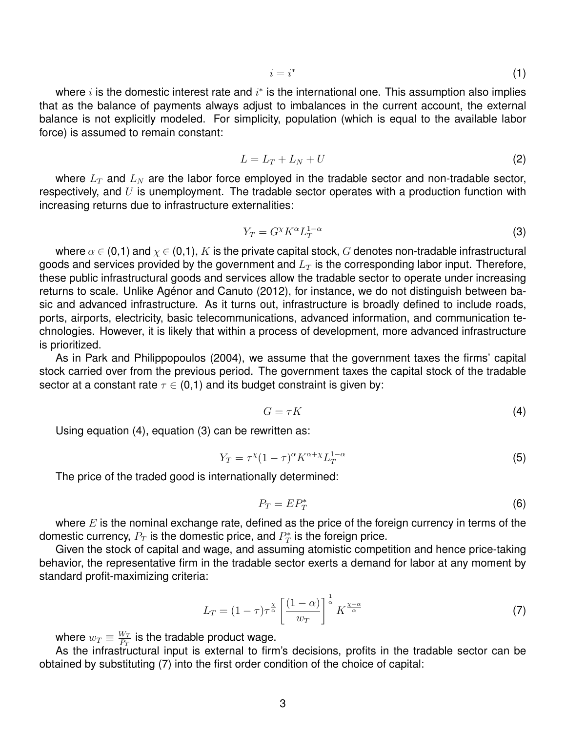$$
i = i^* \tag{1}
$$

where  $i$  is the domestic interest rate and  $i^*$  is the international one. This assumption also implies that as the balance of payments always adjust to imbalances in the current account, the external balance is not explicitly modeled. For simplicity, population (which is equal to the available labor force) is assumed to remain constant:

$$
L = L_T + L_N + U \tag{2}
$$

where  $L_T$  and  $L_N$  are the labor force employed in the tradable sector and non-tradable sector, respectively, and  $U$  is unemployment. The tradable sector operates with a production function with increasing returns due to infrastructure externalities:

$$
Y_T = G^\chi K^\alpha L_T^{1-\alpha} \tag{3}
$$

where  $\alpha \in (0,1)$  and  $\chi \in (0,1)$ , K is the private capital stock, G denotes non-tradable infrastructural goods and services provided by the government and  $L<sub>T</sub>$  is the corresponding labor input. Therefore, these public infrastructural goods and services allow the tradable sector to operate under increasing returns to scale. Unlike Agénor and Canuto (2012), for instance, we do not distinguish between basic and advanced infrastructure. As it turns out, infrastructure is broadly defined to include roads, ports, airports, electricity, basic telecommunications, advanced information, and communication technologies. However, it is likely that within a process of development, more advanced infrastructure is prioritized.

As in Park and Philippopoulos (2004), we assume that the government taxes the firms' capital stock carried over from the previous period. The government taxes the capital stock of the tradable sector at a constant rate  $\tau \in (0,1)$  and its budget constraint is given by:

$$
G = \tau K \tag{4}
$$

Using equation (4), equation (3) can be rewritten as:

$$
Y_T = \tau^{\chi} (1 - \tau)^{\alpha} K^{\alpha + \chi} L_T^{1 - \alpha}
$$
\n
$$
\tag{5}
$$

The price of the traded good is internationally determined:

$$
P_T = E P_T^* \tag{6}
$$

where  $E$  is the nominal exchange rate, defined as the price of the foreign currency in terms of the domestic currency,  $P_T$  is the domestic price, and  $P_T^{\ast}$  is the foreign price.

Given the stock of capital and wage, and assuming atomistic competition and hence price-taking behavior, the representative firm in the tradable sector exerts a demand for labor at any moment by standard profit-maximizing criteria:

$$
L_T = (1 - \tau)\tau^{\frac{\chi}{\alpha}} \left[ \frac{(1 - \alpha)}{w_T} \right]^{\frac{1}{\alpha}} K^{\frac{\chi + \alpha}{\alpha}} \tag{7}
$$

where  $w_T \equiv \frac{W_T}{P_T}$  $\frac{W_T}{P_T}$  is the tradable product wage.

As the infrastructural input is external to firm's decisions, profits in the tradable sector can be obtained by substituting (7) into the first order condition of the choice of capital: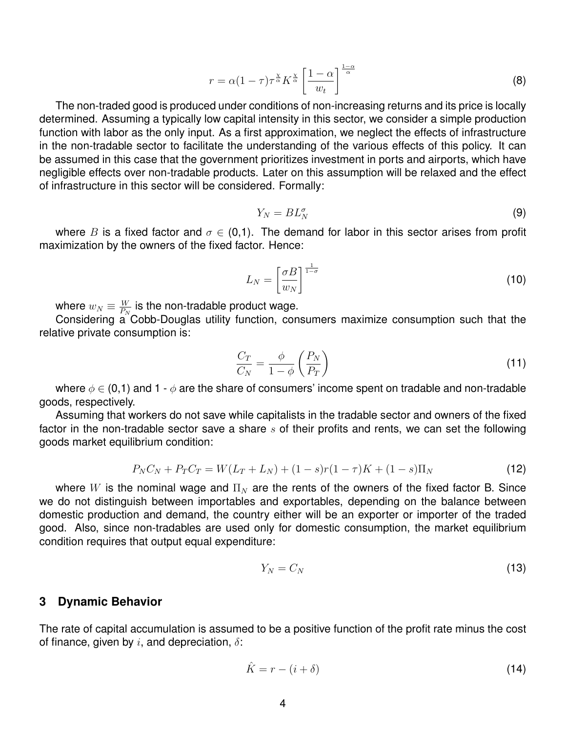$$
r = \alpha (1 - \tau) \tau^{\frac{\chi}{\alpha}} K^{\frac{\chi}{\alpha}} \left[ \frac{1 - \alpha}{w_t} \right]^{\frac{1 - \alpha}{\alpha}}
$$
 (8)

The non-traded good is produced under conditions of non-increasing returns and its price is locally determined. Assuming a typically low capital intensity in this sector, we consider a simple production function with labor as the only input. As a first approximation, we neglect the effects of infrastructure in the non-tradable sector to facilitate the understanding of the various effects of this policy. It can be assumed in this case that the government prioritizes investment in ports and airports, which have negligible effects over non-tradable products. Later on this assumption will be relaxed and the effect of infrastructure in this sector will be considered. Formally:

$$
Y_N = BL_N^{\sigma} \tag{9}
$$

where B is a fixed factor and  $\sigma \in (0,1)$ . The demand for labor in this sector arises from profit maximization by the owners of the fixed factor. Hence:

$$
L_N = \left[\frac{\sigma B}{w_N}\right]^{\frac{1}{1-\sigma}}
$$
\n(10)

where  $w_N \equiv \frac{W}{P_N}$  $\frac{W}{P_N}$  is the non-tradable product wage.

Considering a Cobb-Douglas utility function, consumers maximize consumption such that the relative private consumption is:

$$
\frac{C_T}{C_N} = \frac{\phi}{1 - \phi} \left( \frac{P_N}{P_T} \right) \tag{11}
$$

where  $\phi \in (0,1)$  and 1 -  $\phi$  are the share of consumers' income spent on tradable and non-tradable goods, respectively.

Assuming that workers do not save while capitalists in the tradable sector and owners of the fixed factor in the non-tradable sector save a share  $s$  of their profits and rents, we can set the following goods market equilibrium condition:

$$
P_N C_N + P_T C_T = W(L_T + L_N) + (1 - s)r(1 - \tau)K + (1 - s)\Pi_N
$$
\n(12)

where W is the nominal wage and  $\Pi_N$  are the rents of the owners of the fixed factor B. Since we do not distinguish between importables and exportables, depending on the balance between domestic production and demand, the country either will be an exporter or importer of the traded good. Also, since non-tradables are used only for domestic consumption, the market equilibrium condition requires that output equal expenditure:

$$
Y_N = C_N \tag{13}
$$

#### **3 Dynamic Behavior**

The rate of capital accumulation is assumed to be a positive function of the profit rate minus the cost of finance, given by  $i$ , and depreciation,  $\delta$ :

$$
\hat{K} = r - (i + \delta) \tag{14}
$$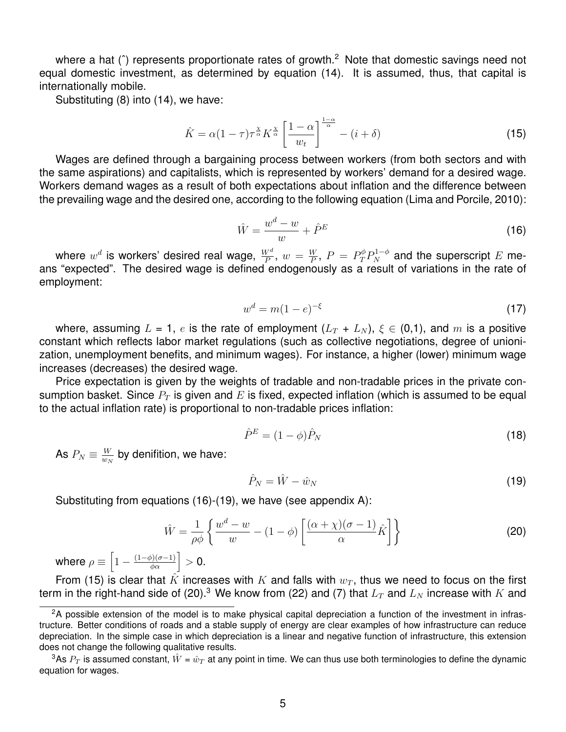where a hat ( $\hat{ }$ ) represents proportionate rates of growth.<sup>2</sup> Note that domestic savings need not equal domestic investment, as determined by equation (14). It is assumed, thus, that capital is internationally mobile.

Substituting (8) into (14), we have:

$$
\hat{K} = \alpha (1 - \tau) \tau^{\frac{\chi}{\alpha}} K^{\frac{\chi}{\alpha}} \left[ \frac{1 - \alpha}{w_t} \right]^{1 - \alpha} - (i + \delta)
$$
\n(15)

Wages are defined through a bargaining process between workers (from both sectors and with the same aspirations) and capitalists, which is represented by workers' demand for a desired wage. Workers demand wages as a result of both expectations about inflation and the difference between the prevailing wage and the desired one, according to the following equation (Lima and Porcile, 2010):

$$
\hat{W} = \frac{w^d - w}{w} + \hat{P}^E \tag{16}
$$

where  $w^d$  is workers' desired real wage,  $\frac{W^d}{P}$ ,  $w\,=\, \frac{W}{P}$  $\frac{W}{P}$ ,  $P = P_T^{\phi} P_N^{1-\phi}$  and the superscript  $E$  means "expected". The desired wage is defined endogenously as a result of variations in the rate of employment:

$$
w^d = m(1 - e)^{-\xi} \tag{17}
$$

where, assuming  $L = 1$ , e is the rate of employment  $(L_T + L_N)$ ,  $\xi \in (0,1)$ , and m is a positive constant which reflects labor market regulations (such as collective negotiations, degree of unionization, unemployment benefits, and minimum wages). For instance, a higher (lower) minimum wage increases (decreases) the desired wage.

Price expectation is given by the weights of tradable and non-tradable prices in the private consumption basket. Since  $P_T$  is given and E is fixed, expected inflation (which is assumed to be equal to the actual inflation rate) is proportional to non-tradable prices inflation:

$$
\hat{P}^E = (1 - \phi)\hat{P}_N \tag{18}
$$

As  $P_N\equiv \frac{W}{w_N}$  $\frac{W}{w_N}$  by denifition, we have:

$$
\hat{P}_N = \hat{W} - \hat{w}_N \tag{19}
$$

Substituting from equations (16)-(19), we have (see appendix A):

$$
\hat{W} = \frac{1}{\rho \phi} \left\{ \frac{w^d - w}{w} - (1 - \phi) \left[ \frac{(\alpha + \chi)(\sigma - 1)}{\alpha} \hat{K} \right] \right\}
$$
\n(20)

where  $\rho \equiv \left[1 - \frac{(1-\phi)(\sigma-1)}{\phi \alpha} \right] > 0.$ 

From (15) is clear that  $\hat{K}$  increases with  $K$  and falls with  $w_T$ , thus we need to focus on the first term in the right-hand side of (20).<sup>3</sup> We know from (22) and (7) that  $L_T$  and  $L_N$  increase with  $K$  and

<sup>&</sup>lt;sup>2</sup>A possible extension of the model is to make physical capital depreciation a function of the investment in infrastructure. Better conditions of roads and a stable supply of energy are clear examples of how infrastructure can reduce depreciation. In the simple case in which depreciation is a linear and negative function of infrastructure, this extension does not change the following qualitative results.

<sup>&</sup>lt;sup>3</sup>As  $P_T$  is assumed constant,  $\hat{W}$  =  $\hat{w}_T$  at any point in time. We can thus use both terminologies to define the dynamic equation for wages.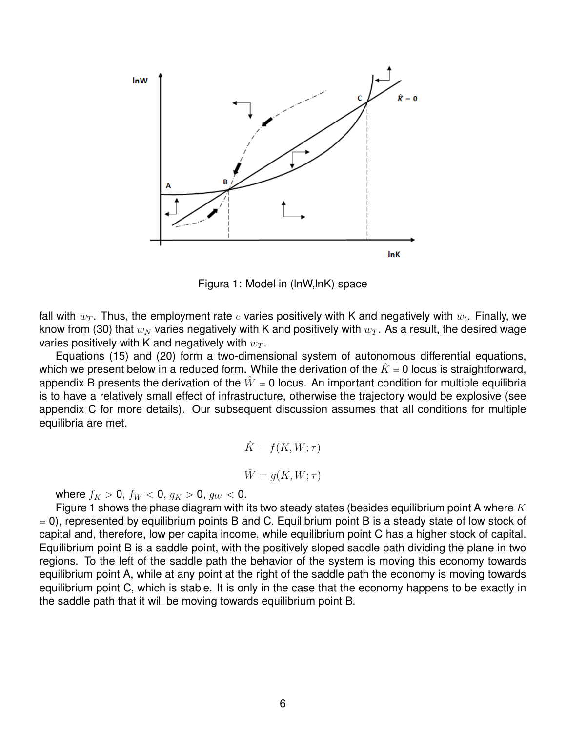

Figura 1: Model in (lnW,lnK) space

fall with  $w_T.$  Thus, the employment rate  $e$  varies positively with K and negatively with  $w_t.$  Finally, we know from (30) that  $w_N$  varies negatively with K and positively with  $w_T$ . As a result, the desired wage varies positively with K and negatively with  $w_T$ .

Equations (15) and (20) form a two-dimensional system of autonomous differential equations, which we present below in a reduced form. While the derivation of the  $\hat{K} = 0$  locus is straightforward, appendix B presents the derivation of the  $\hat{W} = 0$  locus. An important condition for multiple equilibria is to have a relatively small effect of infrastructure, otherwise the trajectory would be explosive (see appendix C for more details). Our subsequent discussion assumes that all conditions for multiple equilibria are met.

$$
\hat{K} = f(K, W; \tau)
$$

$$
\hat{W} = g(K, W; \tau)
$$

where  $f_K > 0$ ,  $f_W < 0$ ,  $g_K > 0$ ,  $g_W < 0$ .

Figure 1 shows the phase diagram with its two steady states (besides equilibrium point A where  $K$ = 0), represented by equilibrium points B and C. Equilibrium point B is a steady state of low stock of capital and, therefore, low per capita income, while equilibrium point C has a higher stock of capital. Equilibrium point B is a saddle point, with the positively sloped saddle path dividing the plane in two regions. To the left of the saddle path the behavior of the system is moving this economy towards equilibrium point A, while at any point at the right of the saddle path the economy is moving towards equilibrium point C, which is stable. It is only in the case that the economy happens to be exactly in the saddle path that it will be moving towards equilibrium point B.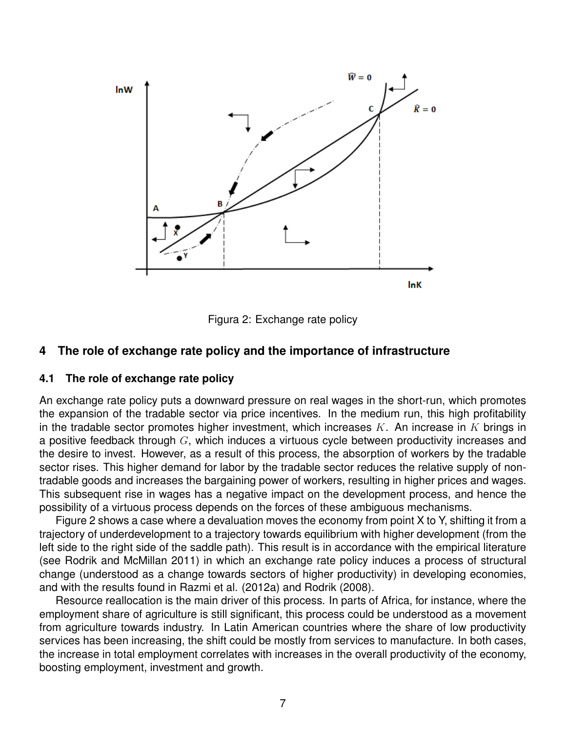

Figura 2: Exchange rate policy

### **4 The role of exchange rate policy and the importance of infrastructure**

## **4.1 The role of exchange rate policy**

An exchange rate policy puts a downward pressure on real wages in the short-run, which promotes the expansion of the tradable sector via price incentives. In the medium run, this high profitability in the tradable sector promotes higher investment, which increases  $K$ . An increase in  $K$  brings in a positive feedback through  $G$ , which induces a virtuous cycle between productivity increases and the desire to invest. However, as a result of this process, the absorption of workers by the tradable sector rises. This higher demand for labor by the tradable sector reduces the relative supply of nontradable goods and increases the bargaining power of workers, resulting in higher prices and wages. This subsequent rise in wages has a negative impact on the development process, and hence the possibility of a virtuous process depends on the forces of these ambiguous mechanisms.

Figure 2 shows a case where a devaluation moves the economy from point X to Y, shifting it from a trajectory of underdevelopment to a trajectory towards equilibrium with higher development (from the left side to the right side of the saddle path). This result is in accordance with the empirical literature (see Rodrik and McMillan 2011) in which an exchange rate policy induces a process of structural change (understood as a change towards sectors of higher productivity) in developing economies, and with the results found in Razmi et al. (2012a) and Rodrik (2008).

Resource reallocation is the main driver of this process. In parts of Africa, for instance, where the employment share of agriculture is still significant, this process could be understood as a movement from agriculture towards industry. In Latin American countries where the share of low productivity services has been increasing, the shift could be mostly from services to manufacture. In both cases, the increase in total employment correlates with increases in the overall productivity of the economy, boosting employment, investment and growth.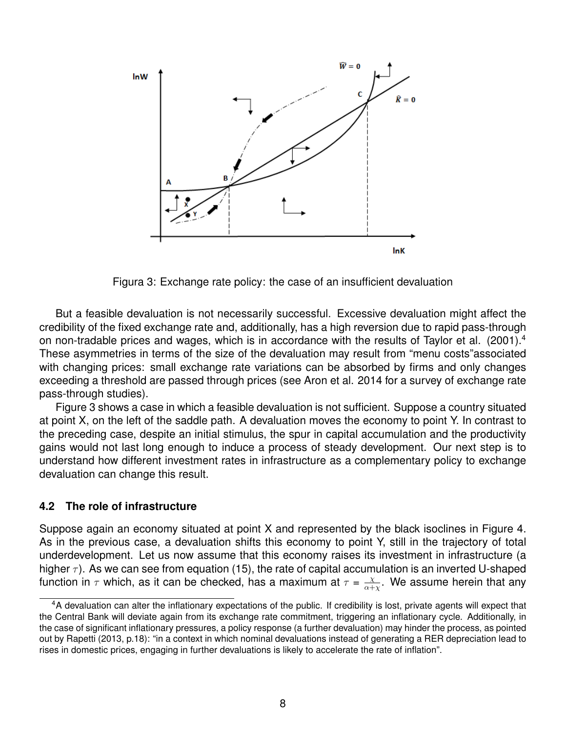

Figura 3: Exchange rate policy: the case of an insufficient devaluation

But a feasible devaluation is not necessarily successful. Excessive devaluation might affect the credibility of the fixed exchange rate and, additionally, has a high reversion due to rapid pass-through on non-tradable prices and wages, which is in accordance with the results of Taylor et al. (2001).<sup>4</sup> These asymmetries in terms of the size of the devaluation may result from "menu costs"associated with changing prices: small exchange rate variations can be absorbed by firms and only changes exceeding a threshold are passed through prices (see Aron et al. 2014 for a survey of exchange rate pass-through studies).

Figure 3 shows a case in which a feasible devaluation is not sufficient. Suppose a country situated at point X, on the left of the saddle path. A devaluation moves the economy to point Y. In contrast to the preceding case, despite an initial stimulus, the spur in capital accumulation and the productivity gains would not last long enough to induce a process of steady development. Our next step is to understand how different investment rates in infrastructure as a complementary policy to exchange devaluation can change this result.

#### **4.2 The role of infrastructure**

Suppose again an economy situated at point X and represented by the black isoclines in Figure 4. As in the previous case, a devaluation shifts this economy to point Y, still in the trajectory of total underdevelopment. Let us now assume that this economy raises its investment in infrastructure (a higher  $\tau$ ). As we can see from equation (15), the rate of capital accumulation is an inverted U-shaped function in  $\tau$  which, as it can be checked, has a maximum at  $\tau = \frac{\chi}{\alpha + \tau}$  $\frac{\chi}{\alpha+\chi}$ . We assume herein that any

<sup>4</sup>A devaluation can alter the inflationary expectations of the public. If credibility is lost, private agents will expect that the Central Bank will deviate again from its exchange rate commitment, triggering an inflationary cycle. Additionally, in the case of significant inflationary pressures, a policy response (a further devaluation) may hinder the process, as pointed out by Rapetti (2013, p.18): "in a context in which nominal devaluations instead of generating a RER depreciation lead to rises in domestic prices, engaging in further devaluations is likely to accelerate the rate of inflation".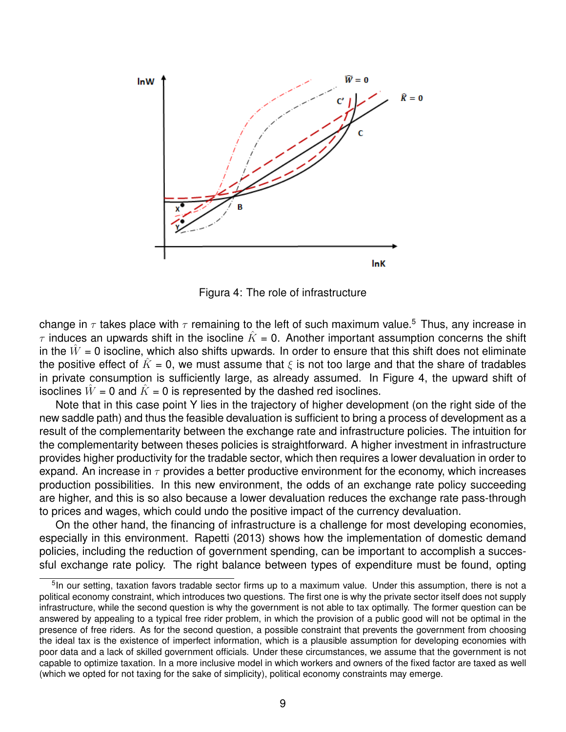

Figura 4: The role of infrastructure

change in  $\tau$  takes place with  $\tau$  remaining to the left of such maximum value.<sup>5</sup> Thus, any increase in  $\tau$  induces an upwards shift in the isocline  $\hat{K} = 0$ . Another important assumption concerns the shift in the  $\hat{W}$  = 0 isocline, which also shifts upwards. In order to ensure that this shift does not eliminate the positive effect of  $\tilde{K} = 0$ , we must assume that  $\xi$  is not too large and that the share of tradables in private consumption is sufficiently large, as already assumed. In Figure 4, the upward shift of isoclines  $\hat{W}$  = 0 and  $\hat{K}$  = 0 is represented by the dashed red isoclines.

Note that in this case point Y lies in the trajectory of higher development (on the right side of the new saddle path) and thus the feasible devaluation is sufficient to bring a process of development as a result of the complementarity between the exchange rate and infrastructure policies. The intuition for the complementarity between theses policies is straightforward. A higher investment in infrastructure provides higher productivity for the tradable sector, which then requires a lower devaluation in order to expand. An increase in  $\tau$  provides a better productive environment for the economy, which increases production possibilities. In this new environment, the odds of an exchange rate policy succeeding are higher, and this is so also because a lower devaluation reduces the exchange rate pass-through to prices and wages, which could undo the positive impact of the currency devaluation.

On the other hand, the financing of infrastructure is a challenge for most developing economies, especially in this environment. Rapetti (2013) shows how the implementation of domestic demand policies, including the reduction of government spending, can be important to accomplish a successful exchange rate policy. The right balance between types of expenditure must be found, opting

<sup>&</sup>lt;sup>5</sup>In our setting, taxation favors tradable sector firms up to a maximum value. Under this assumption, there is not a political economy constraint, which introduces two questions. The first one is why the private sector itself does not supply infrastructure, while the second question is why the government is not able to tax optimally. The former question can be answered by appealing to a typical free rider problem, in which the provision of a public good will not be optimal in the presence of free riders. As for the second question, a possible constraint that prevents the government from choosing the ideal tax is the existence of imperfect information, which is a plausible assumption for developing economies with poor data and a lack of skilled government officials. Under these circumstances, we assume that the government is not capable to optimize taxation. In a more inclusive model in which workers and owners of the fixed factor are taxed as well (which we opted for not taxing for the sake of simplicity), political economy constraints may emerge.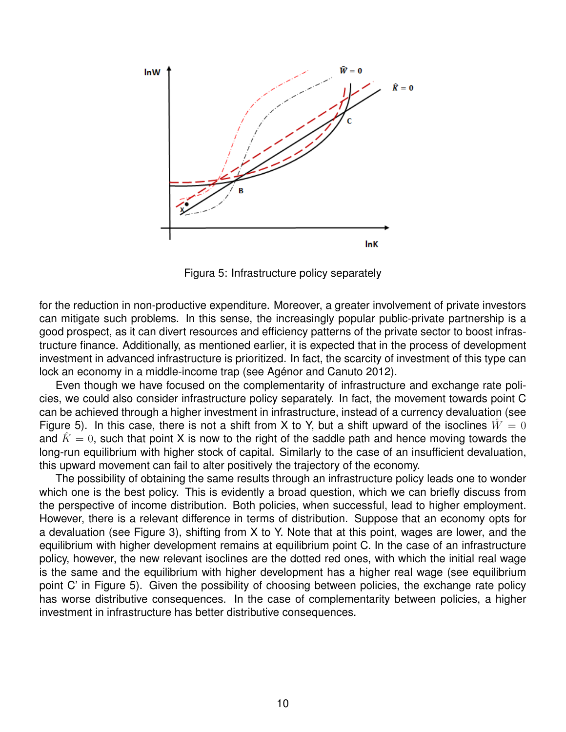

Figura 5: Infrastructure policy separately

for the reduction in non-productive expenditure. Moreover, a greater involvement of private investors can mitigate such problems. In this sense, the increasingly popular public-private partnership is a good prospect, as it can divert resources and efficiency patterns of the private sector to boost infrastructure finance. Additionally, as mentioned earlier, it is expected that in the process of development investment in advanced infrastructure is prioritized. In fact, the scarcity of investment of this type can lock an economy in a middle-income trap (see Agénor and Canuto 2012).

Even though we have focused on the complementarity of infrastructure and exchange rate policies, we could also consider infrastructure policy separately. In fact, the movement towards point C can be achieved through a higher investment in infrastructure, instead of a currency devaluation (see Figure 5). In this case, there is not a shift from X to Y, but a shift upward of the isoclines  $\hat{W}=0$ and  $\hat{K}=0$ , such that point X is now to the right of the saddle path and hence moving towards the long-run equilibrium with higher stock of capital. Similarly to the case of an insufficient devaluation, this upward movement can fail to alter positively the trajectory of the economy.

The possibility of obtaining the same results through an infrastructure policy leads one to wonder which one is the best policy. This is evidently a broad question, which we can briefly discuss from the perspective of income distribution. Both policies, when successful, lead to higher employment. However, there is a relevant difference in terms of distribution. Suppose that an economy opts for a devaluation (see Figure 3), shifting from X to Y. Note that at this point, wages are lower, and the equilibrium with higher development remains at equilibrium point C. In the case of an infrastructure policy, however, the new relevant isoclines are the dotted red ones, with which the initial real wage is the same and the equilibrium with higher development has a higher real wage (see equilibrium point C' in Figure 5). Given the possibility of choosing between policies, the exchange rate policy has worse distributive consequences. In the case of complementarity between policies, a higher investment in infrastructure has better distributive consequences.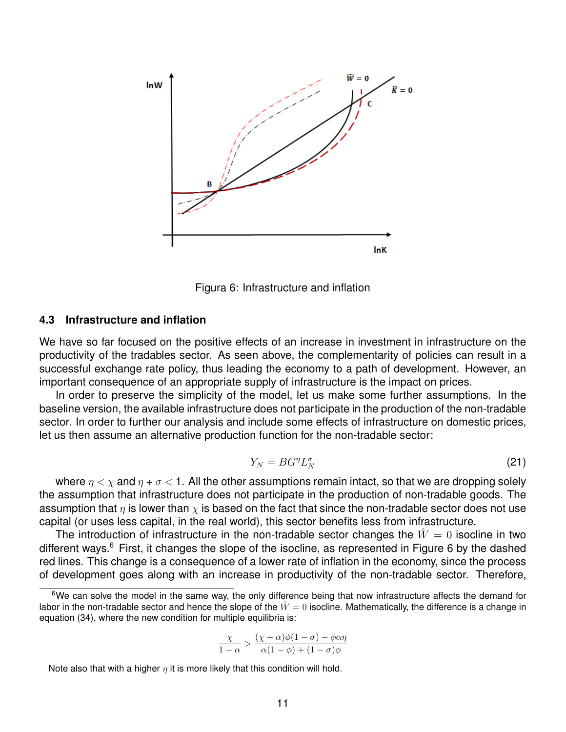

Figura 6: Infrastructure and inflation

#### **4.3 Infrastructure and inflation**

We have so far focused on the positive effects of an increase in investment in infrastructure on the productivity of the tradables sector. As seen above, the complementarity of policies can result in a successful exchange rate policy, thus leading the economy to a path of development. However, an important consequence of an appropriate supply of infrastructure is the impact on prices.

In order to preserve the simplicity of the model, let us make some further assumptions. In the baseline version, the available infrastructure does not participate in the production of the non-tradable sector. In order to further our analysis and include some effects of infrastructure on domestic prices, let us then assume an alternative production function for the non-tradable sector:

$$
Y_N = B G^{\eta} L_N^{\sigma} \tag{21}
$$

where  $\eta < \chi$  and  $\eta + \sigma < 1$ . All the other assumptions remain intact, so that we are dropping solely the assumption that infrastructure does not participate in the production of non-tradable goods. The assumption that  $\eta$  is lower than  $\chi$  is based on the fact that since the non-tradable sector does not use capital (or uses less capital, in the real world), this sector benefits less from infrastructure.

The introduction of infrastructure in the non-tradable sector changes the  $\hat{W}=0$  isocline in two different ways.<sup>6</sup> First, it changes the slope of the isocline, as represented in Figure 6 by the dashed red lines. This change is a consequence of a lower rate of inflation in the economy, since the process of development goes along with an increase in productivity of the non-tradable sector. Therefore,

$$
\frac{\chi}{1-\alpha} > \frac{(\chi+\alpha)\phi(1-\sigma) - \phi\alpha\eta}{\alpha(1-\phi) + (1-\sigma)\phi}
$$

Note also that with a higher  $\eta$  it is more likely that this condition will hold.

<sup>&</sup>lt;sup>6</sup>We can solve the model in the same way, the only difference being that now infrastructure affects the demand for labor in the non-tradable sector and hence the slope of the  $\hat{W}=0$  isocline. Mathematically, the difference is a change in equation (34), where the new condition for multiple equilibria is: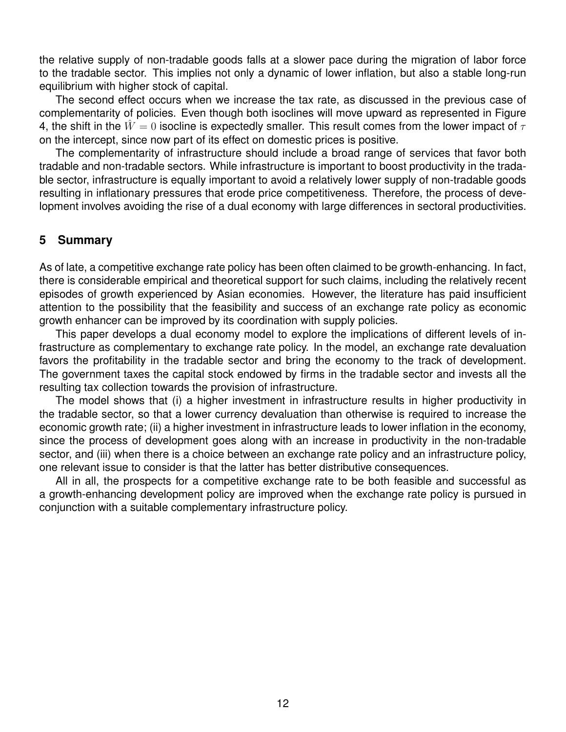the relative supply of non-tradable goods falls at a slower pace during the migration of labor force to the tradable sector. This implies not only a dynamic of lower inflation, but also a stable long-run equilibrium with higher stock of capital.

The second effect occurs when we increase the tax rate, as discussed in the previous case of complementarity of policies. Even though both isoclines will move upward as represented in Figure 4, the shift in the  $\hat{W}=0$  isocline is expectedly smaller. This result comes from the lower impact of  $\tau$ on the intercept, since now part of its effect on domestic prices is positive.

The complementarity of infrastructure should include a broad range of services that favor both tradable and non-tradable sectors. While infrastructure is important to boost productivity in the tradable sector, infrastructure is equally important to avoid a relatively lower supply of non-tradable goods resulting in inflationary pressures that erode price competitiveness. Therefore, the process of development involves avoiding the rise of a dual economy with large differences in sectoral productivities.

## **5 Summary**

As of late, a competitive exchange rate policy has been often claimed to be growth-enhancing. In fact, there is considerable empirical and theoretical support for such claims, including the relatively recent episodes of growth experienced by Asian economies. However, the literature has paid insufficient attention to the possibility that the feasibility and success of an exchange rate policy as economic growth enhancer can be improved by its coordination with supply policies.

This paper develops a dual economy model to explore the implications of different levels of infrastructure as complementary to exchange rate policy. In the model, an exchange rate devaluation favors the profitability in the tradable sector and bring the economy to the track of development. The government taxes the capital stock endowed by firms in the tradable sector and invests all the resulting tax collection towards the provision of infrastructure.

The model shows that (i) a higher investment in infrastructure results in higher productivity in the tradable sector, so that a lower currency devaluation than otherwise is required to increase the economic growth rate; (ii) a higher investment in infrastructure leads to lower inflation in the economy, since the process of development goes along with an increase in productivity in the non-tradable sector, and (iii) when there is a choice between an exchange rate policy and an infrastructure policy, one relevant issue to consider is that the latter has better distributive consequences.

All in all, the prospects for a competitive exchange rate to be both feasible and successful as a growth-enhancing development policy are improved when the exchange rate policy is pursued in conjunction with a suitable complementary infrastructure policy.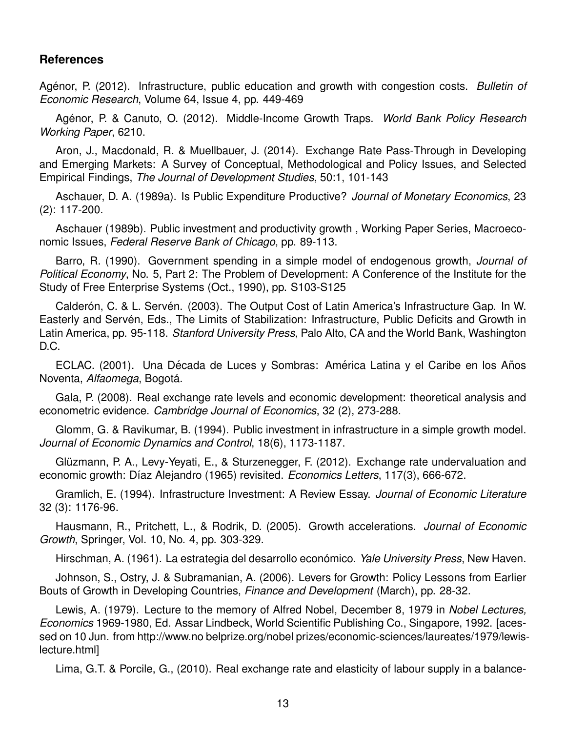## **References**

Agénor, P. (2012). Infrastructure, public education and growth with congestion costs. *Bulletin of Economic Research*, Volume 64, Issue 4, pp. 449-469

Agenor, P. & Canuto, O. (2012). Middle-Income Growth Traps. ´ *World Bank Policy Research Working Paper*, 6210.

Aron, J., Macdonald, R. & Muellbauer, J. (2014). Exchange Rate Pass-Through in Developing and Emerging Markets: A Survey of Conceptual, Methodological and Policy Issues, and Selected Empirical Findings, *The Journal of Development Studies*, 50:1, 101-143

Aschauer, D. A. (1989a). Is Public Expenditure Productive? *Journal of Monetary Economics*, 23 (2): 117-200.

Aschauer (1989b). Public investment and productivity growth , Working Paper Series, Macroeconomic Issues, *Federal Reserve Bank of Chicago*, pp. 89-113.

Barro, R. (1990). Government spending in a simple model of endogenous growth, *Journal of Political Economy*, No. 5, Part 2: The Problem of Development: A Conference of the Institute for the Study of Free Enterprise Systems (Oct., 1990), pp. S103-S125

Calderón, C. & L. Servén. (2003). The Output Cost of Latin America's Infrastructure Gap. In W. Easterly and Servén, Eds., The Limits of Stabilization: Infrastructure, Public Deficits and Growth in Latin America, pp. 95-118. *Stanford University Press*, Palo Alto, CA and the World Bank, Washington D.C.

ECLAC. (2001). Una Década de Luces y Sombras: América Latina y el Caribe en los Años Noventa, *Alfaomega*, Bogota. ´

Gala, P. (2008). Real exchange rate levels and economic development: theoretical analysis and econometric evidence. *Cambridge Journal of Economics*, 32 (2), 273-288.

Glomm, G. & Ravikumar, B. (1994). Public investment in infrastructure in a simple growth model. *Journal of Economic Dynamics and Control*, 18(6), 1173-1187.

Glüzmann, P. A., Levy-Yeyati, E., & Sturzenegger, F. (2012). Exchange rate undervaluation and economic growth: Díaz Alejandro (1965) revisited. *Economics Letters*, 117(3), 666-672.

Gramlich, E. (1994). Infrastructure Investment: A Review Essay. *Journal of Economic Literature* 32 (3): 1176-96.

Hausmann, R., Pritchett, L., & Rodrik, D. (2005). Growth accelerations. *Journal of Economic Growth*, Springer, Vol. 10, No. 4, pp. 303-329.

Hirschman, A. (1961). La estrategia del desarrollo económico. *Yale University Press*, New Haven.

Johnson, S., Ostry, J. & Subramanian, A. (2006). Levers for Growth: Policy Lessons from Earlier Bouts of Growth in Developing Countries, *Finance and Development* (March), pp. 28-32.

Lewis, A. (1979). Lecture to the memory of Alfred Nobel, December 8, 1979 in *Nobel Lectures, Economics* 1969-1980, Ed. Assar Lindbeck, World Scientific Publishing Co., Singapore, 1992. [acessed on 10 Jun. from http://www.no belprize.org/nobel prizes/economic-sciences/laureates/1979/lewislecture.html]

Lima, G.T. & Porcile, G., (2010). Real exchange rate and elasticity of labour supply in a balance-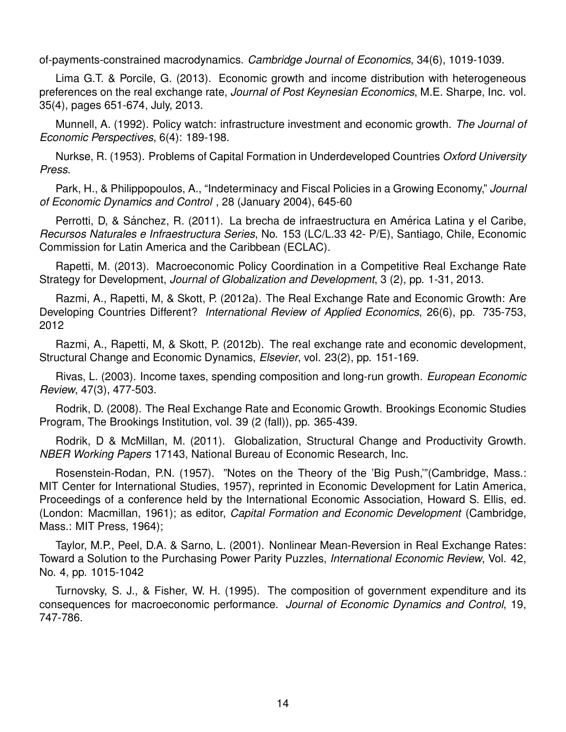of-payments-constrained macrodynamics. *Cambridge Journal of Economics*, 34(6), 1019-1039.

Lima G.T. & Porcile, G. (2013). Economic growth and income distribution with heterogeneous preferences on the real exchange rate, *Journal of Post Keynesian Economics*, M.E. Sharpe, Inc. vol. 35(4), pages 651-674, July, 2013.

Munnell, A. (1992). Policy watch: infrastructure investment and economic growth. *The Journal of Economic Perspectives*, 6(4): 189-198.

Nurkse, R. (1953). Problems of Capital Formation in Underdeveloped Countries *Oxford University Press*.

Park, H., & Philippopoulos, A., "Indeterminacy and Fiscal Policies in a Growing Economy," *Journal of Economic Dynamics and Control* , 28 (January 2004), 645-60

Perrotti, D, & Sánchez, R. (2011). La brecha de infraestructura en América Latina y el Caribe, *Recursos Naturales e Infraestructura Series*, No. 153 (LC/L.33 42- P/E), Santiago, Chile, Economic Commission for Latin America and the Caribbean (ECLAC).

Rapetti, M. (2013). Macroeconomic Policy Coordination in a Competitive Real Exchange Rate Strategy for Development, *Journal of Globalization and Development*, 3 (2), pp. 1-31, 2013.

Razmi, A., Rapetti, M, & Skott, P. (2012a). The Real Exchange Rate and Economic Growth: Are Developing Countries Different? *International Review of Applied Economics*, 26(6), pp. 735-753, 2012

Razmi, A., Rapetti, M, & Skott, P. (2012b). The real exchange rate and economic development, Structural Change and Economic Dynamics, *Elsevier*, vol. 23(2), pp. 151-169.

Rivas, L. (2003). Income taxes, spending composition and long-run growth. *European Economic Review*, 47(3), 477-503.

Rodrik, D. (2008). The Real Exchange Rate and Economic Growth. Brookings Economic Studies Program, The Brookings Institution, vol. 39 (2 (fall)), pp. 365-439.

Rodrik, D & McMillan, M. (2011). Globalization, Structural Change and Productivity Growth. *NBER Working Papers* 17143, National Bureau of Economic Research, Inc.

Rosenstein-Rodan, P.N. (1957). "Notes on the Theory of the 'Big Push,'"(Cambridge, Mass.: MIT Center for International Studies, 1957), reprinted in Economic Development for Latin America, Proceedings of a conference held by the International Economic Association, Howard S. Ellis, ed. (London: Macmillan, 1961); as editor, *Capital Formation and Economic Development* (Cambridge, Mass.: MIT Press, 1964);

Taylor, M.P., Peel, D.A. & Sarno, L. (2001). Nonlinear Mean-Reversion in Real Exchange Rates: Toward a Solution to the Purchasing Power Parity Puzzles, *International Economic Review*, Vol. 42, No. 4, pp. 1015-1042

Turnovsky, S. J., & Fisher, W. H. (1995). The composition of government expenditure and its consequences for macroeconomic performance. *Journal of Economic Dynamics and Control*, 19, 747-786.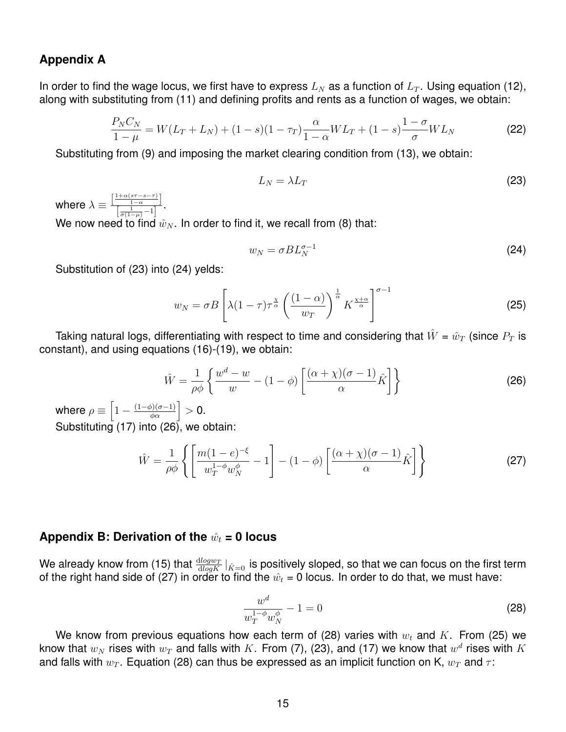## **Appendix A**

In order to find the wage locus, we first have to express  $L_N$  as a function of  $L_T$ . Using equation (12), along with substituting from (11) and defining profits and rents as a function of wages, we obtain:

$$
\frac{P_N C_N}{1-\mu} = W(L_T + L_N) + (1-s)(1-\tau_T)\frac{\alpha}{1-\alpha}WL_T + (1-s)\frac{1-\sigma}{\sigma}WL_N
$$
\n(22)

Substituting from (9) and imposing the market clearing condition from (13), we obtain:

$$
L_N = \lambda L_T \tag{23}
$$

where  $\lambda \equiv \frac{\left[\frac{1+\alpha(s\tau-s-\tau)}{1-\alpha}\right]}{\left[\begin{array}{cc} 1 & 1 \end{array}\right]}$  $\frac{1-\alpha}{\left[\frac{1}{\sigma(1-\mu)}-1\right]}$ . We now need to find  $\hat{w}_N$ . In order to find it, we recall from (8) that:

$$
w_N = \sigma B L_N^{\sigma - 1}
$$
 (24)

Substitution of (23) into (24) yelds:

$$
w_N = \sigma B \left[ \lambda (1 - \tau) \tau^{\frac{\chi}{\alpha}} \left( \frac{(1 - \alpha)}{w_T} \right)^{\frac{1}{\alpha}} K^{\frac{\chi + \alpha}{\alpha}} \right]^{\sigma - 1}
$$
 (25)

Taking natural logs, differentiating with respect to time and considering that  $\hat{W} = \hat{w}_T$  (since  $P_T$  is constant), and using equations (16)-(19), we obtain:

$$
\hat{W} = \frac{1}{\rho \phi} \left\{ \frac{w^d - w}{w} - (1 - \phi) \left[ \frac{(\alpha + \chi)(\sigma - 1)}{\alpha} \hat{K} \right] \right\}
$$
(26)

where  $\rho \equiv \left[1 - \frac{(1-\phi)(\sigma-1)}{\phi \alpha} \right] > 0.$ Substituting (17) into (26), we obtain:

$$
\hat{W} = \frac{1}{\rho \phi} \left\{ \left[ \frac{m(1-e)^{-\xi}}{w_T^{1-\phi} w_N^{\phi}} - 1 \right] - (1-\phi) \left[ \frac{(\alpha + \chi)(\sigma - 1)}{\alpha} \hat{K} \right] \right\}
$$
(27)

## Appendix B: Derivation of the  $\hat{w}_t = 0$  locus

We already know from (15) that  $\frac{\text{dlog}w_T}{\text{dlog}K}|_{\hat{K}=0}$  is positively sloped, so that we can focus on the first term of the right hand side of (27) in order to find the  $\hat{w}_t = 0$  locus. In order to do that, we must have:

$$
\frac{w^d}{w_T^{1-\phi}w_N^{\phi}} - 1 = 0
$$
\n(28)

We know from previous equations how each term of (28) varies with  $w_t$  and K. From (25) we know that  $w_N$  rises with  $w_T$  and falls with  $K.$  From (7), (23), and (17) we know that  $w^d$  rises with  $K$ and falls with  $w_T$ . Equation (28) can thus be expressed as an implicit function on K,  $w_T$  and  $\tau$ :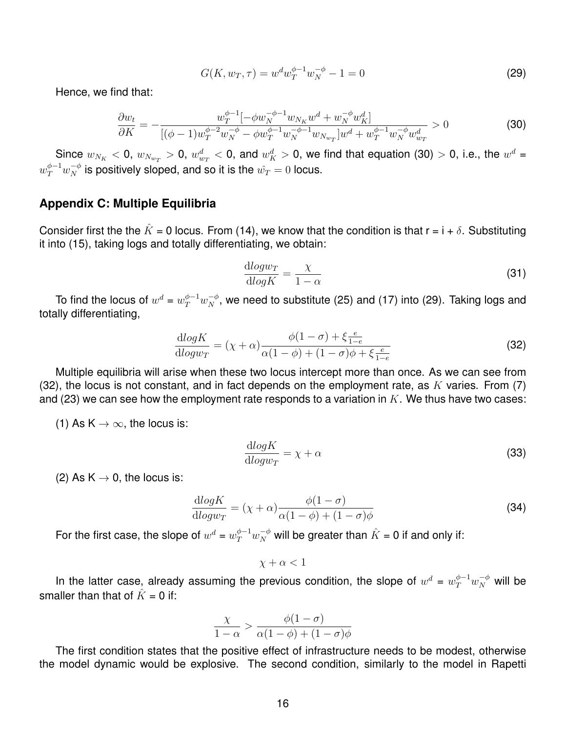$$
G(K, w_T, \tau) = w^d w_T^{\phi - 1} w_N^{-\phi} - 1 = 0
$$
\n(29)

Hence, we find that:

$$
\frac{\partial w_t}{\partial K} = -\frac{w_T^{\phi-1}[-\phi w_N^{-\phi-1} w_{N_K} w^d + w_N^{-\phi} w_K^d]}{[(\phi-1)w_T^{\phi-2} w_N^{-\phi} - \phi w_T^{\phi-1} w_N^{-\phi-1} w_{N_{w_T}}]w^d + w_T^{\phi-1} w_N^{-\phi} w_{w_T}^d} > 0 \tag{30}
$$

Since  $w_{N_K} <$  0,  $w_{N_{w_T}} >$  0,  $w_{w_T}^d <$  0, and  $w_K^d >$  0, we find that equation (30)  $>$  0, i.e., the  $w^d$  =  $w_T^{\phi-1} w_N^{-\phi}$  is positively sloped, and so it is the  $\hat{w_T}=0$  locus.

#### **Appendix C: Multiple Equilibria**

Consider first the the  $\hat{K} = 0$  locus. From (14), we know that the condition is that  $r = i + \delta$ . Substituting it into (15), taking logs and totally differentiating, we obtain:

$$
\frac{\mathrm{d} \log w_T}{\mathrm{d} \log K} = \frac{\chi}{1 - \alpha} \tag{31}
$$

To find the locus of  $w^d=w_T^{\phi-1}w_N^{-\phi},$  we need to substitute (25) and (17) into (29). Taking logs and totally differentiating,

$$
\frac{d\log K}{d\log w_T} = (\chi + \alpha) \frac{\phi(1-\sigma) + \xi \frac{e}{1-e}}{\alpha(1-\phi) + (1-\sigma)\phi + \xi \frac{e}{1-e}}
$$
(32)

Multiple equilibria will arise when these two locus intercept more than once. As we can see from (32), the locus is not constant, and in fact depends on the employment rate, as K varies. From (7) and (23) we can see how the employment rate responds to a variation in  $K$ . We thus have two cases:

(1) As  $K \to \infty$ , the locus is:

$$
\frac{\mathrm{d} \log K}{\mathrm{d} \log w_T} = \chi + \alpha \tag{33}
$$

(2) As  $K \rightarrow 0$ , the locus is:

$$
\frac{\mathrm{d} \log K}{\mathrm{d} \log w_T} = (\chi + \alpha) \frac{\phi(1 - \sigma)}{\alpha(1 - \phi) + (1 - \sigma)\phi} \tag{34}
$$

For the first case, the slope of  $w^d=w_T^{\phi-1}w_N^{-\phi}$  will be greater than  $\hat{K}$  = 0 if and only if:

 $x + \alpha < 1$ 

In the latter case, already assuming the previous condition, the slope of  $w^d = w_T^{\phi-1} w_N^{-\phi}$  will be smaller than that of  $\hat{K} = 0$  if:

$$
\frac{\chi}{1-\alpha} > \frac{\phi(1-\sigma)}{\alpha(1-\phi) + (1-\sigma)\phi}
$$

The first condition states that the positive effect of infrastructure needs to be modest, otherwise the model dynamic would be explosive. The second condition, similarly to the model in Rapetti